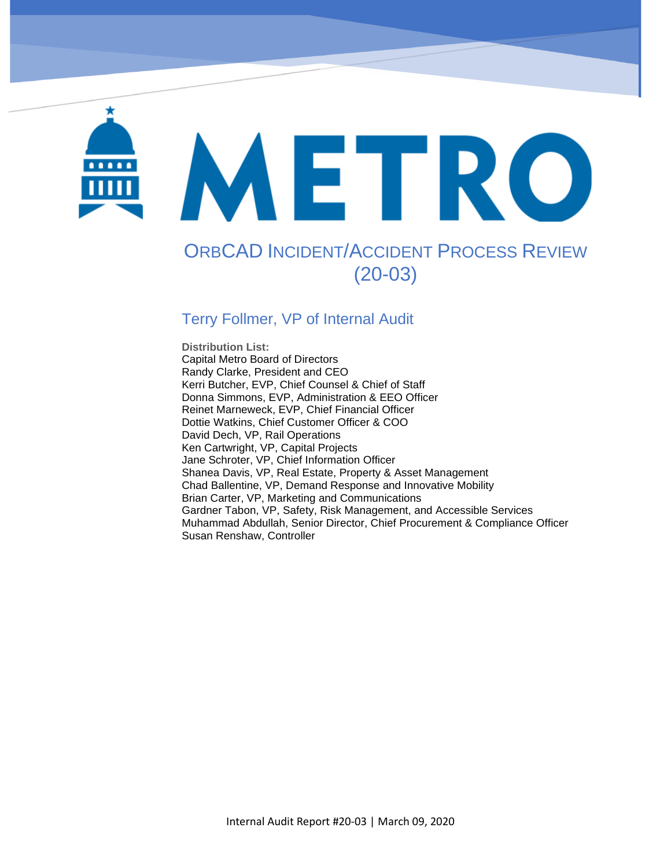# METRO

OrbCAD Incident/Accident Process Review (20-03)

# ORBCAD INCIDENT/ACCIDENT PROCESS REVIEW (20-03)

## Terry Follmer, VP of Internal Audit

**Distribution List:**  Capital Metro Board of Directors Randy Clarke, President and CEO Kerri Butcher, EVP, Chief Counsel & Chief of Staff Donna Simmons, EVP, Administration & EEO Officer Reinet Marneweck, EVP, Chief Financial Officer Dottie Watkins, Chief Customer Officer & COO David Dech, VP, Rail Operations Ken Cartwright, VP, Capital Projects Jane Schroter, VP, Chief Information Officer Shanea Davis, VP, Real Estate, Property & Asset Management Chad Ballentine, VP, Demand Response and Innovative Mobility Brian Carter, VP, Marketing and Communications Gardner Tabon, VP, Safety, Risk Management, and Accessible Services Muhammad Abdullah, Senior Director, Chief Procurement & Compliance Officer Susan Renshaw, Controller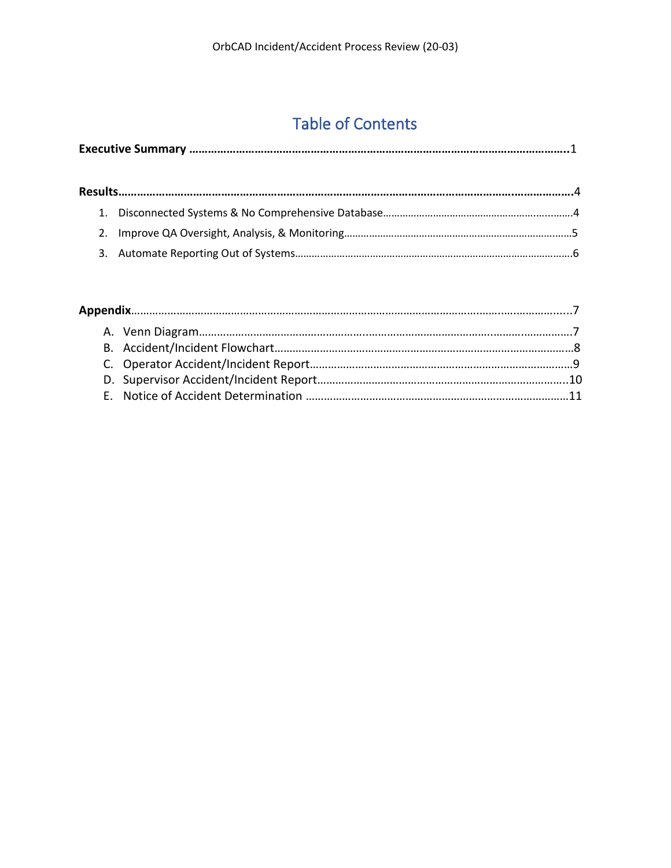# Table of Contents

|--|--|--|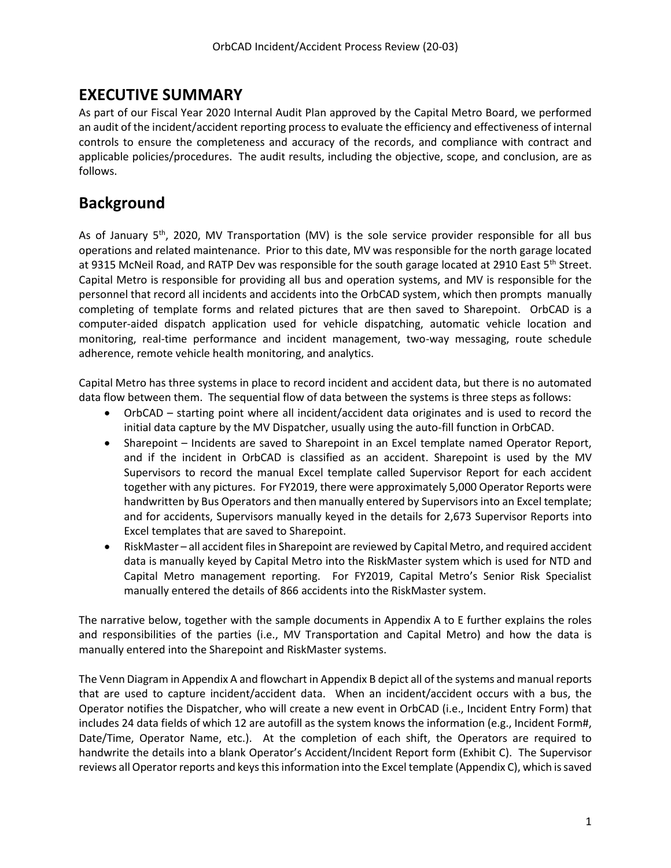## **EXECUTIVE SUMMARY**

As part of our Fiscal Year 2020 Internal Audit Plan approved by the Capital Metro Board, we performed an audit of the incident/accident reporting process to evaluate the efficiency and effectiveness of internal controls to ensure the completeness and accuracy of the records, and compliance with contract and applicable policies/procedures. The audit results, including the objective, scope, and conclusion, are as follows.

## **Background**

As of January 5<sup>th</sup>, 2020, MV Transportation (MV) is the sole service provider responsible for all bus operations and related maintenance. Prior to this date, MV was responsible for the north garage located at 9315 McNeil Road, and RATP Dev was responsible for the south garage located at 2910 East 5<sup>th</sup> Street. Capital Metro is responsible for providing all bus and operation systems, and MV is responsible for the personnel that record all incidents and accidents into the OrbCAD system, which then prompts manually completing of template forms and related pictures that are then saved to Sharepoint. OrbCAD is a computer-aided dispatch application used for vehicle dispatching, automatic vehicle location and monitoring, real-time performance and incident management, two-way messaging, route schedule adherence, remote vehicle health monitoring, and analytics.

Capital Metro has three systems in place to record incident and accident data, but there is no automated data flow between them. The sequential flow of data between the systems is three steps as follows:

- OrbCAD starting point where all incident/accident data originates and is used to record the initial data capture by the MV Dispatcher, usually using the auto-fill function in OrbCAD.
- Sharepoint Incidents are saved to Sharepoint in an Excel template named Operator Report, and if the incident in OrbCAD is classified as an accident. Sharepoint is used by the MV Supervisors to record the manual Excel template called Supervisor Report for each accident together with any pictures. For FY2019, there were approximately 5,000 Operator Reports were handwritten by Bus Operators and then manually entered by Supervisors into an Excel template; and for accidents, Supervisors manually keyed in the details for 2,673 Supervisor Reports into Excel templates that are saved to Sharepoint.
- RiskMaster all accident files in Sharepoint are reviewed by Capital Metro, and required accident data is manually keyed by Capital Metro into the RiskMaster system which is used for NTD and Capital Metro management reporting. For FY2019, Capital Metro's Senior Risk Specialist manually entered the details of 866 accidents into the RiskMaster system.

The narrative below, together with the sample documents in Appendix A to E further explains the roles and responsibilities of the parties (i.e., MV Transportation and Capital Metro) and how the data is manually entered into the Sharepoint and RiskMaster systems.

The Venn Diagram in Appendix A and flowchart in Appendix B depict all of the systems and manual reports that are used to capture incident/accident data. When an incident/accident occurs with a bus, the Operator notifies the Dispatcher, who will create a new event in OrbCAD (i.e., Incident Entry Form) that includes 24 data fields of which 12 are autofill as the system knows the information (e.g., Incident Form#, Date/Time, Operator Name, etc.). At the completion of each shift, the Operators are required to handwrite the details into a blank Operator's Accident/Incident Report form (Exhibit C). The Supervisor reviews all Operator reports and keys this information into the Excel template (Appendix C), which is saved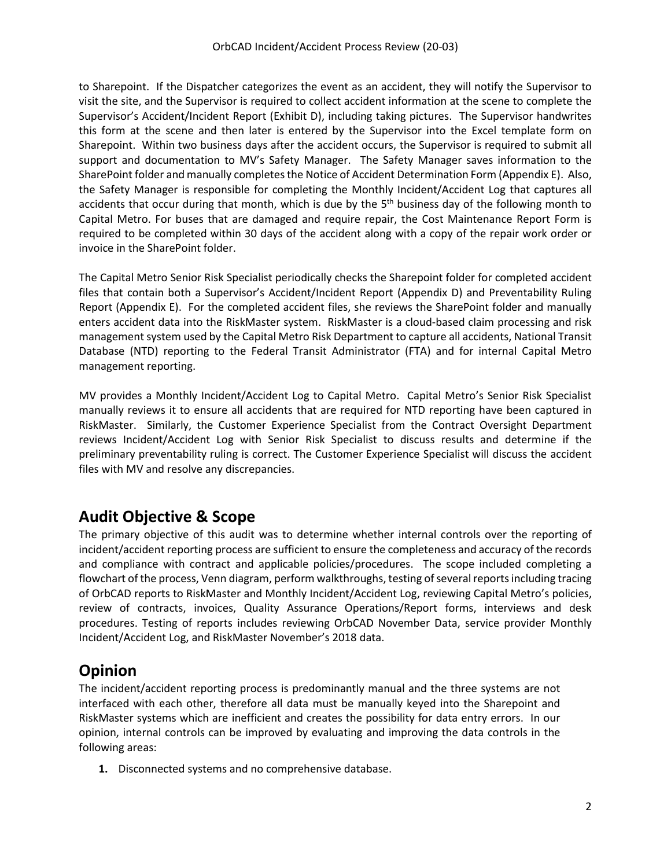to Sharepoint. If the Dispatcher categorizes the event as an accident, they will notify the Supervisor to visit the site, and the Supervisor is required to collect accident information at the scene to complete the Supervisor's Accident/Incident Report (Exhibit D), including taking pictures. The Supervisor handwrites this form at the scene and then later is entered by the Supervisor into the Excel template form on Sharepoint. Within two business days after the accident occurs, the Supervisor is required to submit all support and documentation to MV's Safety Manager. The Safety Manager saves information to the SharePoint folder and manually completes the Notice of Accident Determination Form (Appendix E). Also, the Safety Manager is responsible for completing the Monthly Incident/Accident Log that captures all accidents that occur during that month, which is due by the 5<sup>th</sup> business day of the following month to Capital Metro. For buses that are damaged and require repair, the Cost Maintenance Report Form is required to be completed within 30 days of the accident along with a copy of the repair work order or invoice in the SharePoint folder.

The Capital Metro Senior Risk Specialist periodically checks the Sharepoint folder for completed accident files that contain both a Supervisor's Accident/Incident Report (Appendix D) and Preventability Ruling Report (Appendix E). For the completed accident files, she reviews the SharePoint folder and manually enters accident data into the RiskMaster system. RiskMaster is a cloud-based claim processing and risk management system used by the Capital Metro Risk Department to capture all accidents, National Transit Database (NTD) reporting to the Federal Transit Administrator (FTA) and for internal Capital Metro management reporting.

MV provides a Monthly Incident/Accident Log to Capital Metro. Capital Metro's Senior Risk Specialist manually reviews it to ensure all accidents that are required for NTD reporting have been captured in RiskMaster. Similarly, the Customer Experience Specialist from the Contract Oversight Department reviews Incident/Accident Log with Senior Risk Specialist to discuss results and determine if the preliminary preventability ruling is correct. The Customer Experience Specialist will discuss the accident files with MV and resolve any discrepancies.

## **Audit Objective & Scope**

The primary objective of this audit was to determine whether internal controls over the reporting of incident/accident reporting process are sufficient to ensure the completeness and accuracy of the records and compliance with contract and applicable policies/procedures. The scope included completing a flowchart of the process, Venn diagram, perform walkthroughs, testing of several reports including tracing of OrbCAD reports to RiskMaster and Monthly Incident/Accident Log, reviewing Capital Metro's policies, review of contracts, invoices, Quality Assurance Operations/Report forms, interviews and desk procedures. Testing of reports includes reviewing OrbCAD November Data, service provider Monthly Incident/Accident Log, and RiskMaster November's 2018 data.

## **Opinion**

The incident/accident reporting process is predominantly manual and the three systems are not interfaced with each other, therefore all data must be manually keyed into the Sharepoint and RiskMaster systems which are inefficient and creates the possibility for data entry errors. In our opinion, internal controls can be improved by evaluating and improving the data controls in the following areas:

**1.** Disconnected systems and no comprehensive database.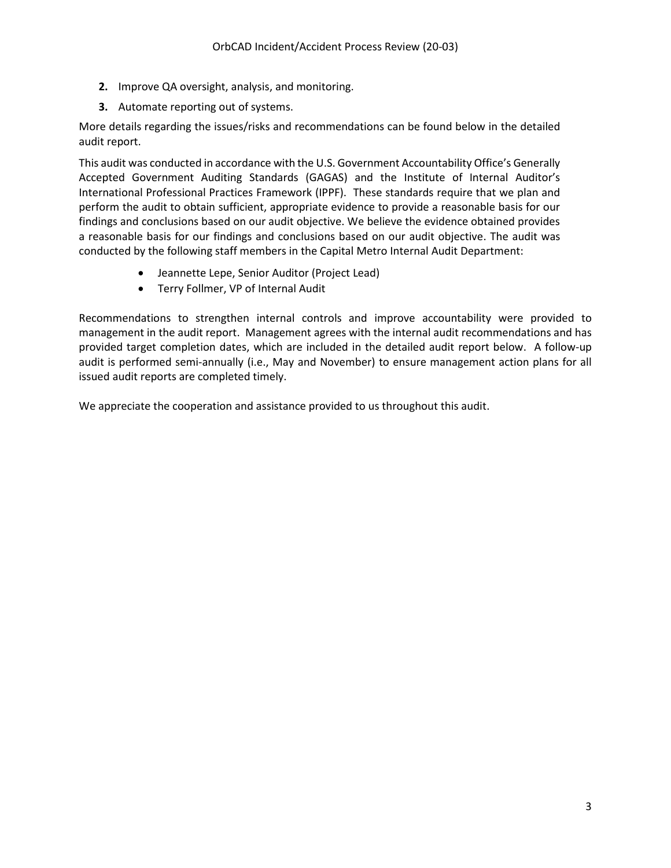- **2.** Improve QA oversight, analysis, and monitoring.
- **3.** Automate reporting out of systems.

More details regarding the issues/risks and recommendations can be found below in the detailed audit report.

This audit was conducted in accordance with the U.S. Government Accountability Office's Generally Accepted Government Auditing Standards (GAGAS) and the Institute of Internal Auditor's International Professional Practices Framework (IPPF). These standards require that we plan and perform the audit to obtain sufficient, appropriate evidence to provide a reasonable basis for our findings and conclusions based on our audit objective. We believe the evidence obtained provides a reasonable basis for our findings and conclusions based on our audit objective. The audit was conducted by the following staff members in the Capital Metro Internal Audit Department:

- Jeannette Lepe, Senior Auditor (Project Lead)
- Terry Follmer, VP of Internal Audit

Recommendations to strengthen internal controls and improve accountability were provided to management in the audit report. Management agrees with the internal audit recommendations and has provided target completion dates, which are included in the detailed audit report below. A follow-up audit is performed semi-annually (i.e., May and November) to ensure management action plans for all issued audit reports are completed timely.

We appreciate the cooperation and assistance provided to us throughout this audit.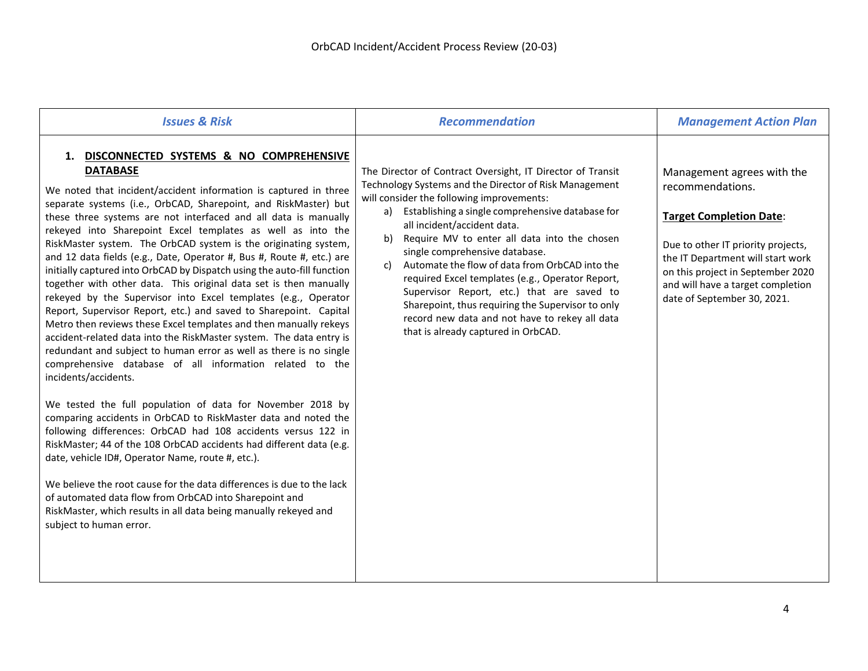| <b>Issues &amp; Risk</b>                                                                                                                                                                                                                                                                                                                                                                                                                                                                                                                                                                                                                                                                                                                                                                                                                                                                                                                                                                                                                                                                                                                                                                                                                                                                                                                                                                                                                                                                                                                                                                                                                       | <b>Recommendation</b>                                                                                                                                                                                                                                                                                                                                                                                                                                                                                                                                                                                                                                      | <b>Management Action Plan</b>                                                                                                                                                                                                                                        |
|------------------------------------------------------------------------------------------------------------------------------------------------------------------------------------------------------------------------------------------------------------------------------------------------------------------------------------------------------------------------------------------------------------------------------------------------------------------------------------------------------------------------------------------------------------------------------------------------------------------------------------------------------------------------------------------------------------------------------------------------------------------------------------------------------------------------------------------------------------------------------------------------------------------------------------------------------------------------------------------------------------------------------------------------------------------------------------------------------------------------------------------------------------------------------------------------------------------------------------------------------------------------------------------------------------------------------------------------------------------------------------------------------------------------------------------------------------------------------------------------------------------------------------------------------------------------------------------------------------------------------------------------|------------------------------------------------------------------------------------------------------------------------------------------------------------------------------------------------------------------------------------------------------------------------------------------------------------------------------------------------------------------------------------------------------------------------------------------------------------------------------------------------------------------------------------------------------------------------------------------------------------------------------------------------------------|----------------------------------------------------------------------------------------------------------------------------------------------------------------------------------------------------------------------------------------------------------------------|
| 1. DISCONNECTED SYSTEMS & NO COMPREHENSIVE<br><b>DATABASE</b><br>We noted that incident/accident information is captured in three<br>separate systems (i.e., OrbCAD, Sharepoint, and RiskMaster) but<br>these three systems are not interfaced and all data is manually<br>rekeyed into Sharepoint Excel templates as well as into the<br>RiskMaster system. The OrbCAD system is the originating system,<br>and 12 data fields (e.g., Date, Operator #, Bus #, Route #, etc.) are<br>initially captured into OrbCAD by Dispatch using the auto-fill function<br>together with other data. This original data set is then manually<br>rekeyed by the Supervisor into Excel templates (e.g., Operator<br>Report, Supervisor Report, etc.) and saved to Sharepoint. Capital<br>Metro then reviews these Excel templates and then manually rekeys<br>accident-related data into the RiskMaster system. The data entry is<br>redundant and subject to human error as well as there is no single<br>comprehensive database of all information related to the<br>incidents/accidents.<br>We tested the full population of data for November 2018 by<br>comparing accidents in OrbCAD to RiskMaster data and noted the<br>following differences: OrbCAD had 108 accidents versus 122 in<br>RiskMaster; 44 of the 108 OrbCAD accidents had different data (e.g.<br>date, vehicle ID#, Operator Name, route #, etc.).<br>We believe the root cause for the data differences is due to the lack<br>of automated data flow from OrbCAD into Sharepoint and<br>RiskMaster, which results in all data being manually rekeyed and<br>subject to human error. | The Director of Contract Oversight, IT Director of Transit<br>Technology Systems and the Director of Risk Management<br>will consider the following improvements:<br>Establishing a single comprehensive database for<br>a)<br>all incident/accident data.<br>Require MV to enter all data into the chosen<br>b)<br>single comprehensive database.<br>Automate the flow of data from OrbCAD into the<br>c)<br>required Excel templates (e.g., Operator Report,<br>Supervisor Report, etc.) that are saved to<br>Sharepoint, thus requiring the Supervisor to only<br>record new data and not have to rekey all data<br>that is already captured in OrbCAD. | Management agrees with the<br>recommendations.<br><b>Target Completion Date:</b><br>Due to other IT priority projects,<br>the IT Department will start work<br>on this project in September 2020<br>and will have a target completion<br>date of September 30, 2021. |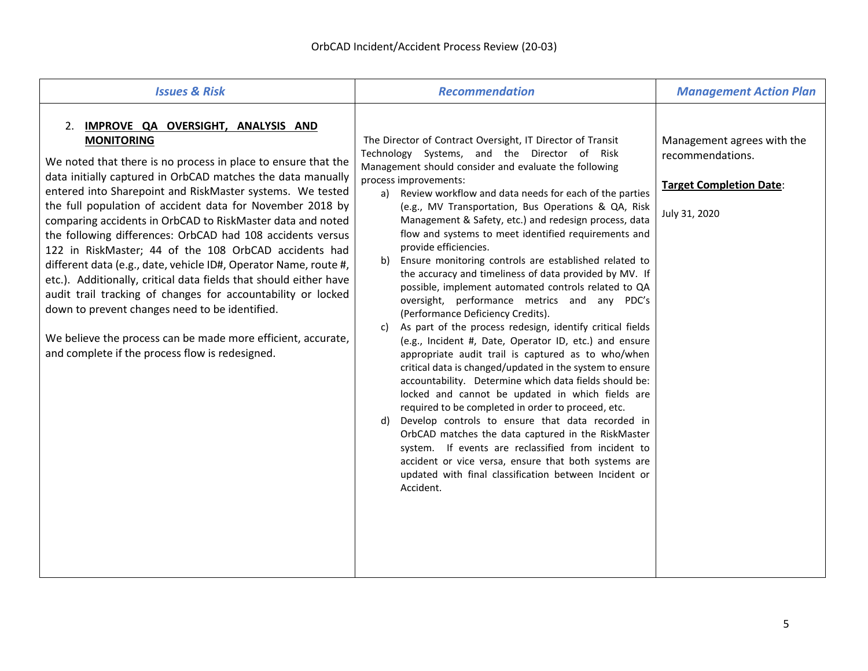| <b>Issues &amp; Risk</b>                                                                                                                                                                                                                                                                                                                                                                                                                                                                                                                                                                                                                                                                                                                                                                                                                                                                | <b>Recommendation</b>                                                                                                                                                                                                                                                                                                                                                                                                                                                                                                                                                                                                                                                                                                                                                                                                                                                                                                                                                                                                                                                                                                                                                                                                                                                                                                                                                                                                                                       | <b>Management Action Plan</b>                                                                     |
|-----------------------------------------------------------------------------------------------------------------------------------------------------------------------------------------------------------------------------------------------------------------------------------------------------------------------------------------------------------------------------------------------------------------------------------------------------------------------------------------------------------------------------------------------------------------------------------------------------------------------------------------------------------------------------------------------------------------------------------------------------------------------------------------------------------------------------------------------------------------------------------------|-------------------------------------------------------------------------------------------------------------------------------------------------------------------------------------------------------------------------------------------------------------------------------------------------------------------------------------------------------------------------------------------------------------------------------------------------------------------------------------------------------------------------------------------------------------------------------------------------------------------------------------------------------------------------------------------------------------------------------------------------------------------------------------------------------------------------------------------------------------------------------------------------------------------------------------------------------------------------------------------------------------------------------------------------------------------------------------------------------------------------------------------------------------------------------------------------------------------------------------------------------------------------------------------------------------------------------------------------------------------------------------------------------------------------------------------------------------|---------------------------------------------------------------------------------------------------|
| 2. IMPROVE QA OVERSIGHT, ANALYSIS AND<br><b>MONITORING</b><br>We noted that there is no process in place to ensure that the<br>data initially captured in OrbCAD matches the data manually<br>entered into Sharepoint and RiskMaster systems. We tested<br>the full population of accident data for November 2018 by<br>comparing accidents in OrbCAD to RiskMaster data and noted<br>the following differences: OrbCAD had 108 accidents versus<br>122 in RiskMaster; 44 of the 108 OrbCAD accidents had<br>different data (e.g., date, vehicle ID#, Operator Name, route #,<br>etc.). Additionally, critical data fields that should either have<br>audit trail tracking of changes for accountability or locked<br>down to prevent changes need to be identified.<br>We believe the process can be made more efficient, accurate,<br>and complete if the process flow is redesigned. | The Director of Contract Oversight, IT Director of Transit<br>Technology Systems, and the Director of Risk<br>Management should consider and evaluate the following<br>process improvements:<br>Review workflow and data needs for each of the parties<br>a)<br>(e.g., MV Transportation, Bus Operations & QA, Risk<br>Management & Safety, etc.) and redesign process, data<br>flow and systems to meet identified requirements and<br>provide efficiencies.<br>Ensure monitoring controls are established related to<br>b)<br>the accuracy and timeliness of data provided by MV. If<br>possible, implement automated controls related to QA<br>oversight, performance metrics and any PDC's<br>(Performance Deficiency Credits).<br>As part of the process redesign, identify critical fields<br>c)<br>(e.g., Incident #, Date, Operator ID, etc.) and ensure<br>appropriate audit trail is captured as to who/when<br>critical data is changed/updated in the system to ensure<br>accountability. Determine which data fields should be:<br>locked and cannot be updated in which fields are<br>required to be completed in order to proceed, etc.<br>Develop controls to ensure that data recorded in<br>d)<br>OrbCAD matches the data captured in the RiskMaster<br>system. If events are reclassified from incident to<br>accident or vice versa, ensure that both systems are<br>updated with final classification between Incident or<br>Accident. | Management agrees with the<br>recommendations.<br><b>Target Completion Date:</b><br>July 31, 2020 |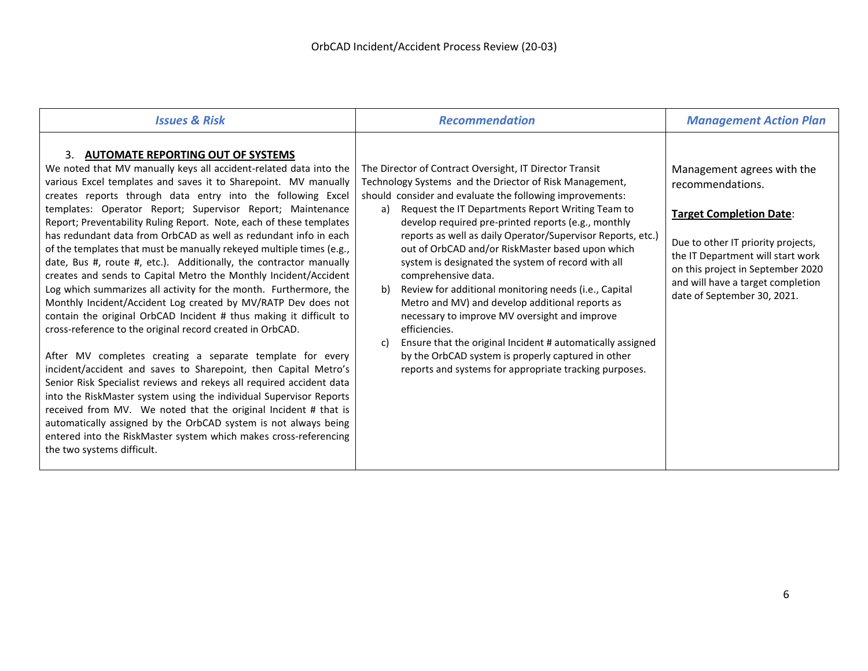| <b>Issues &amp; Risk</b>                                                                                                                                                                                                                                                                                                                                                                                                                                                                                                                                                                                                                                                                                                                                                                                                                                                                                                                                                                                                                                                                                                                                                                                                                                                                                                                                                                                                                                              | <b>Recommendation</b>                                                                                                                                                                                                                                                                                                                                                                                                                                                                                                                                                                                                                                                                                                                                                                                                                                                    | <b>Management Action Plan</b>                                                                                                                                                                                                                                        |
|-----------------------------------------------------------------------------------------------------------------------------------------------------------------------------------------------------------------------------------------------------------------------------------------------------------------------------------------------------------------------------------------------------------------------------------------------------------------------------------------------------------------------------------------------------------------------------------------------------------------------------------------------------------------------------------------------------------------------------------------------------------------------------------------------------------------------------------------------------------------------------------------------------------------------------------------------------------------------------------------------------------------------------------------------------------------------------------------------------------------------------------------------------------------------------------------------------------------------------------------------------------------------------------------------------------------------------------------------------------------------------------------------------------------------------------------------------------------------|--------------------------------------------------------------------------------------------------------------------------------------------------------------------------------------------------------------------------------------------------------------------------------------------------------------------------------------------------------------------------------------------------------------------------------------------------------------------------------------------------------------------------------------------------------------------------------------------------------------------------------------------------------------------------------------------------------------------------------------------------------------------------------------------------------------------------------------------------------------------------|----------------------------------------------------------------------------------------------------------------------------------------------------------------------------------------------------------------------------------------------------------------------|
| 3. AUTOMATE REPORTING OUT OF SYSTEMS<br>We noted that MV manually keys all accident-related data into the<br>various Excel templates and saves it to Sharepoint. MV manually<br>creates reports through data entry into the following Excel<br>templates: Operator Report; Supervisor Report; Maintenance<br>Report; Preventability Ruling Report. Note, each of these templates<br>has redundant data from OrbCAD as well as redundant info in each<br>of the templates that must be manually rekeyed multiple times (e.g.,<br>date, Bus #, route #, etc.). Additionally, the contractor manually<br>creates and sends to Capital Metro the Monthly Incident/Accident<br>Log which summarizes all activity for the month. Furthermore, the<br>Monthly Incident/Accident Log created by MV/RATP Dev does not<br>contain the original OrbCAD Incident # thus making it difficult to<br>cross-reference to the original record created in OrbCAD.<br>After MV completes creating a separate template for every<br>incident/accident and saves to Sharepoint, then Capital Metro's<br>Senior Risk Specialist reviews and rekeys all required accident data<br>into the RiskMaster system using the individual Supervisor Reports<br>received from MV. We noted that the original Incident # that is<br>automatically assigned by the OrbCAD system is not always being<br>entered into the RiskMaster system which makes cross-referencing<br>the two systems difficult. | The Director of Contract Oversight, IT Director Transit<br>Technology Systems and the Driector of Risk Management,<br>should consider and evaluate the following improvements:<br>Request the IT Departments Report Writing Team to<br>a)<br>develop required pre-printed reports (e.g., monthly<br>reports as well as daily Operator/Supervisor Reports, etc.)<br>out of OrbCAD and/or RiskMaster based upon which<br>system is designated the system of record with all<br>comprehensive data.<br>Review for additional monitoring needs (i.e., Capital<br>b)<br>Metro and MV) and develop additional reports as<br>necessary to improve MV oversight and improve<br>efficiencies.<br>Ensure that the original Incident # automatically assigned<br>C)<br>by the OrbCAD system is properly captured in other<br>reports and systems for appropriate tracking purposes. | Management agrees with the<br>recommendations.<br><b>Target Completion Date:</b><br>Due to other IT priority projects,<br>the IT Department will start work<br>on this project in September 2020<br>and will have a target completion<br>date of September 30, 2021. |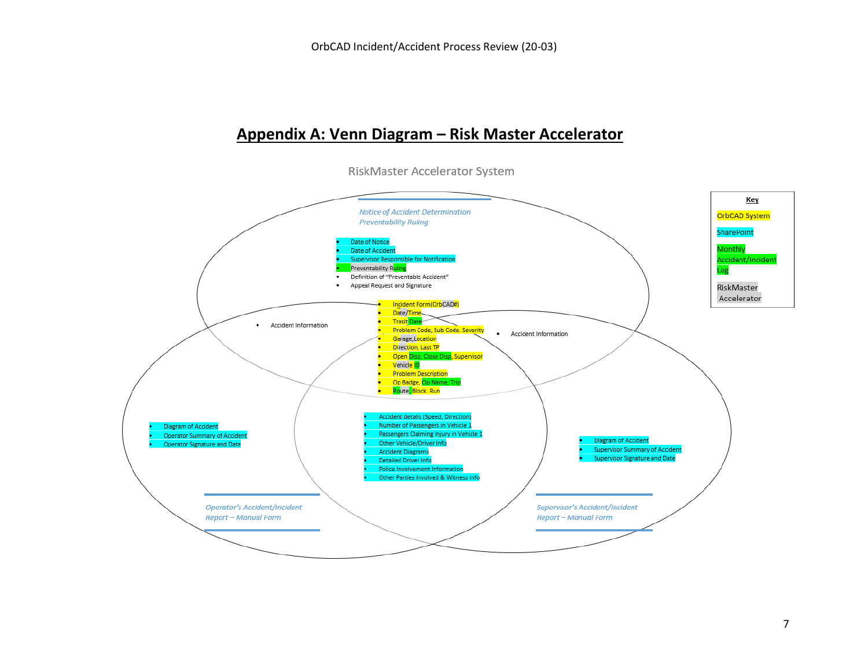## **Appendix A: Venn Diagram – Risk Master Accelerator**

RiskMaster Accelerator System

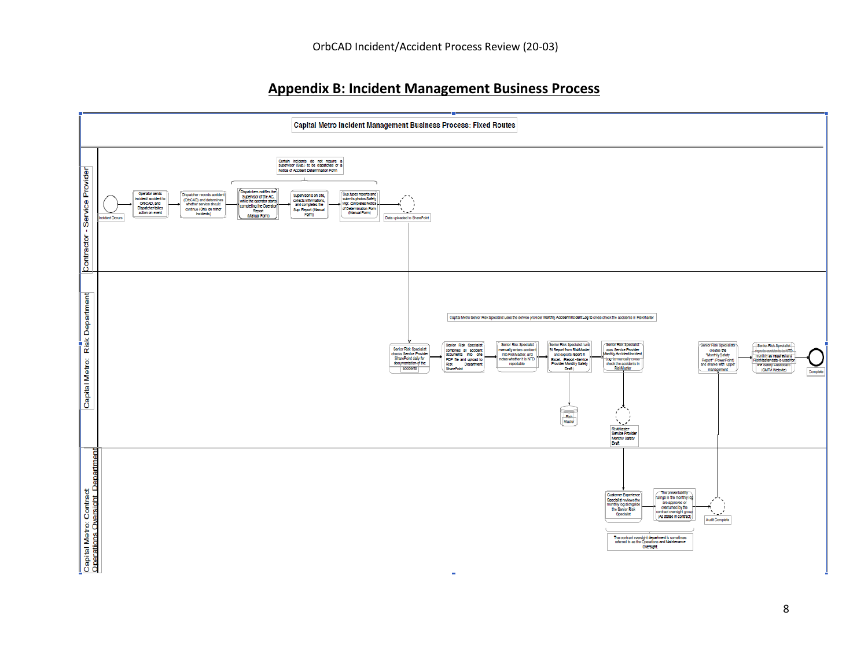### **Appendix B: Incident Management Business Process**

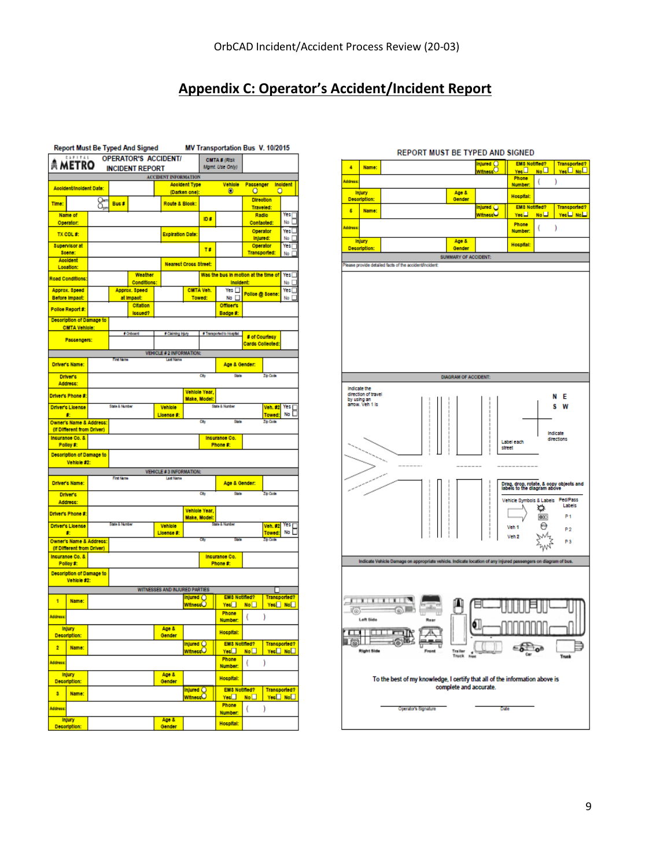## **Appendix C: Operator's Accident/Incident Report**

|          |                                               |    |                | <b>Report Must Be Typed And Signed</b> |                                                    |                      |                               | MV Transportation Bus V. 10/2015     |                                      |                    |   |                                    |
|----------|-----------------------------------------------|----|----------------|----------------------------------------|----------------------------------------------------|----------------------|-------------------------------|--------------------------------------|--------------------------------------|--------------------|---|------------------------------------|
|          | CAPITAL<br><b>METRO</b>                       |    |                | <b>OPERATOR'S ACCIDENT/</b>            |                                                    |                      |                               | CMTA # (Risk                         |                                      |                    |   |                                    |
|          |                                               |    |                | <b>INCIDENT REPORT</b>                 |                                                    |                      |                               | Mamt. Use Only)                      |                                      |                    |   |                                    |
|          |                                               |    |                |                                        | <b>ACCIDENT INFORMATION</b>                        | <b>Acoldent Type</b> |                               | Vehicle                              | Passenger                            |                    |   | Inoldent                           |
|          | Accident/Incident Date:                       |    |                |                                        |                                                    | (Darken one):        |                               | o                                    | о                                    |                    | о |                                    |
| Time:    |                                               | 8. | Buc #          |                                        | Route & Blook:                                     |                      |                               |                                      | <b>Direction</b><br><b>Traveled:</b> |                    |   |                                    |
|          | Name of                                       |    |                |                                        |                                                    |                      | ID #                          |                                      | Radio                                |                    |   | Yes                                |
|          | Operator:                                     |    |                |                                        |                                                    |                      |                               |                                      | Contacted:<br>Operator               |                    |   | No<br>Yes                          |
|          | TX CDL #:                                     |    |                |                                        | <b>Expiration Date:</b>                            |                      |                               |                                      | Injured:                             |                    |   | No                                 |
|          | <b>Supervisor at</b><br>Soone:                |    |                |                                        |                                                    |                      | T#                            |                                      | Operator<br><b>Transported:</b>      |                    |   | Yes<br>No                          |
|          | Acoldent                                      |    |                |                                        | <b>Nearest Cross Street:</b>                       |                      |                               |                                      |                                      |                    |   |                                    |
|          | Location:                                     |    |                | Weather                                |                                                    |                      |                               | Was the bus in motion at the time of |                                      |                    |   | Yes [                              |
|          | Road Conditions:                              |    |                | Conditions:                            |                                                    |                      |                               | Inoldent:                            |                                      |                    |   | No [                               |
|          | Approx. 8peed<br>Before Impact:               |    |                | Approx. Speed<br>at Impact:            |                                                    |                      | CMTA Vol.<br>Towed:           | Yes ∐<br>No D                        | Police @ Scene:                      |                    |   | Yes [<br>No                        |
|          | Polloe Report #:                              |    |                | <b>Citation</b>                        |                                                    |                      |                               | <b>Officer's</b>                     |                                      |                    |   |                                    |
|          | Decoription of Damage to                      |    |                | Iccued?                                |                                                    |                      |                               | Badge #:                             |                                      |                    |   |                                    |
|          | <b>CMTA Vehicle:</b>                          |    |                |                                        |                                                    |                      |                               |                                      |                                      |                    |   |                                    |
|          | Passengers:                                   |    |                | # Onboard                              | # Claiming Injury                                  |                      |                               | # Transported to Hospital            | # of Courtesy<br>Cards Collected:    |                    |   |                                    |
|          |                                               |    |                |                                        | <b>VEHICLE # 2 INFORMATION:</b>                    |                      |                               |                                      |                                      |                    |   |                                    |
|          | <b>Driver's Name:</b>                         |    | First No.      |                                        | <b>Art No</b>                                      |                      |                               | Age & Gender:                        |                                      |                    |   |                                    |
|          | <b>Driver's</b>                               |    |                |                                        |                                                    |                      | City                          | State                                |                                      | Zip Code           |   |                                    |
|          | Address:                                      |    |                |                                        |                                                    |                      |                               |                                      |                                      |                    |   |                                    |
|          | Driver's Phone #:                             |    |                |                                        |                                                    |                      | Vehicle Year,<br>Make, Model: |                                      |                                      |                    |   |                                    |
|          | <b>Driver's Licence</b>                       |    | State & Number |                                        | Vehicle                                            |                      |                               | State & Number                       |                                      | Voli. #2           |   | Yes                                |
|          | 走<br>Owner's Name & Address:                  |    |                |                                        | Licence #:                                         |                      | Cby                           | State                                |                                      | Towed:<br>Zip Code |   | No                                 |
|          | (if Different from Driver)                    |    |                |                                        |                                                    |                      |                               |                                      |                                      |                    |   |                                    |
|          | Incurance Co. &<br>Polloy #:                  |    |                |                                        |                                                    |                      |                               | Incurance Co.<br>Phone #:            |                                      |                    |   |                                    |
|          | Description of Damage to                      |    |                |                                        |                                                    |                      |                               |                                      |                                      |                    |   |                                    |
|          | Vehicle #2:                                   |    |                |                                        |                                                    |                      |                               |                                      |                                      |                    |   |                                    |
|          |                                               |    | First Name     |                                        | <b>VEHICLE #3 INFORMATION:</b><br><b>Last Name</b> |                      |                               |                                      |                                      |                    |   |                                    |
|          | Driver's Name:                                |    |                |                                        |                                                    |                      |                               | Age & Gender:                        |                                      |                    |   |                                    |
|          | <b>Driver's</b>                               |    |                |                                        |                                                    |                      | Ch <sub>3</sub>               | State                                |                                      | Zip Code           |   |                                    |
|          | Address:                                      |    |                |                                        |                                                    |                      | Vehicle Year,                 |                                      |                                      |                    |   |                                    |
|          | Driver's Phone #:                             |    | State & Number |                                        |                                                    |                      | Make, Model:                  | a Kilo                               |                                      |                    |   |                                    |
|          | Driver's License<br>去                         |    |                |                                        | Vehicle<br>Lloence #:                              |                      |                               |                                      |                                      | Voh. 82<br>Towed   |   | Yes<br>No.                         |
|          | Owner's Name & Address:                       |    |                |                                        |                                                    |                      | Čħ                            | State                                |                                      | Zip Code           |   |                                    |
|          | (if Different from Driver)<br>Insurance Co. & |    |                |                                        |                                                    |                      |                               | Incurance Co.                        |                                      |                    |   |                                    |
|          | Polloy #:                                     |    |                |                                        |                                                    |                      |                               | Phone #:                             |                                      |                    |   |                                    |
|          | Decoription of Damage to<br>Vehicle #2:       |    |                |                                        |                                                    |                      |                               |                                      |                                      |                    |   |                                    |
|          |                                               |    |                |                                        | WITNESSES AND INJURED PARTIES                      |                      |                               |                                      |                                      |                    |   |                                    |
| 1        | Name:                                         |    |                |                                        |                                                    | Injured O            |                               | <b>EMS Notified?</b>                 |                                      |                    |   | <b>Transported?</b>                |
|          |                                               |    |                |                                        |                                                    | <b>Witness</b>       |                               | Yes<br>Phone                         | No <sup>I</sup>                      |                    |   | Yes <sup>[]</sup> No <sup>[]</sup> |
| Address: |                                               |    |                |                                        |                                                    |                      |                               | Number:                              | (                                    | ١                  |   |                                    |
|          | <b>Injury</b><br>Decoription:                 |    |                |                                        | Age &<br>Gender                                    |                      |                               | Hospital:                            |                                      |                    |   |                                    |
| 2        | Name:                                         |    |                |                                        |                                                    | Injured ()           |                               | <b>EMS Notified?</b>                 |                                      |                    |   | <b>Transported?</b>                |
|          |                                               |    |                |                                        |                                                    | Witness C            |                               | $\sqrt{\frac{1}{200}}$<br>Phone      | No <sub>1</sub>                      |                    |   | Yes <sup>[]</sup> No <sup>[]</sup> |
| Address: |                                               |    |                |                                        |                                                    |                      |                               | Number:                              | (                                    | )                  |   |                                    |
|          | <b>Injury</b><br><b>Decoription:</b>          |    |                |                                        | Age &<br>Gender                                    |                      |                               | <b>Hospital:</b>                     |                                      |                    |   |                                    |
|          |                                               |    |                |                                        |                                                    | Injured O            |                               | <b>EM8 Notified?</b>                 |                                      |                    |   | <b>Transported?</b>                |
| 3        | Name:                                         |    |                |                                        |                                                    | Witness <sup>O</sup> |                               | Yes                                  | No                                   |                    |   | <u>Yec□ No</u> □                   |
| Address: |                                               |    |                |                                        |                                                    |                      |                               | Phone<br>Number:                     | €                                    | )                  |   |                                    |
|          | <b>Injury</b><br>Decoription:                 |    |                |                                        | Age &<br>Gender                                    |                      |                               | <b>Hospital:</b>                     |                                      |                    |   |                                    |

#### <u>EM& Notified? | Transported?</u><br><mark>Yes □ No □ | Yes □ No □</mark><br>Phone | . vietname<br>Vietname O  $\blacktriangleleft$ Name:  $Y_{06}$ Phone<br>Number: a<br>Address:  $\left($  $\rightarrow$ **Injury** Age &<br>Gender **Hospital:** Description: <u>EMS Notified?</u><br>| Transported? | Transported?<br>| Yes∐ | No∟ | Yes∐ No ن<br>Thecc 6 Name: Phone<br>Number:  $($  ) .<br>Hitleria Age &<br>Gender **Injury Hospital:** Description: SUMMARY OF ACCIDENT: ase provide detailed facts of the accident@ **DIAGRAM OF ACCIDENT:** Indicate the<br>direction of travel<br>by using an<br>arrow. Veh 1 is N E s w Indicate<br>directions Label each<br>street Drag, drop, rotate, & copy objects and<br>labels to the diagram above Vehicle Symbols & Labels Ped/Pass ◎图卷 P1 Veh<sub>1</sub>  $P<sub>2</sub>$ W, Veh<sub>2</sub> ZWZ p<sub>3</sub> Indicate Vehicle Damage on appropriate vehicle. Indicate location of any injured pr  $\mathbf{F}$  in the company ₿ 目  $\circ$ ٥I Ж **OK** I 61 B  $= 500$ **Trailer**<br>Truck To the best of my knowledge, I certify that all of the information above is complete and accurate. Operator's Signature Date

#### REPORT MUST BE TYPED AND SIGNED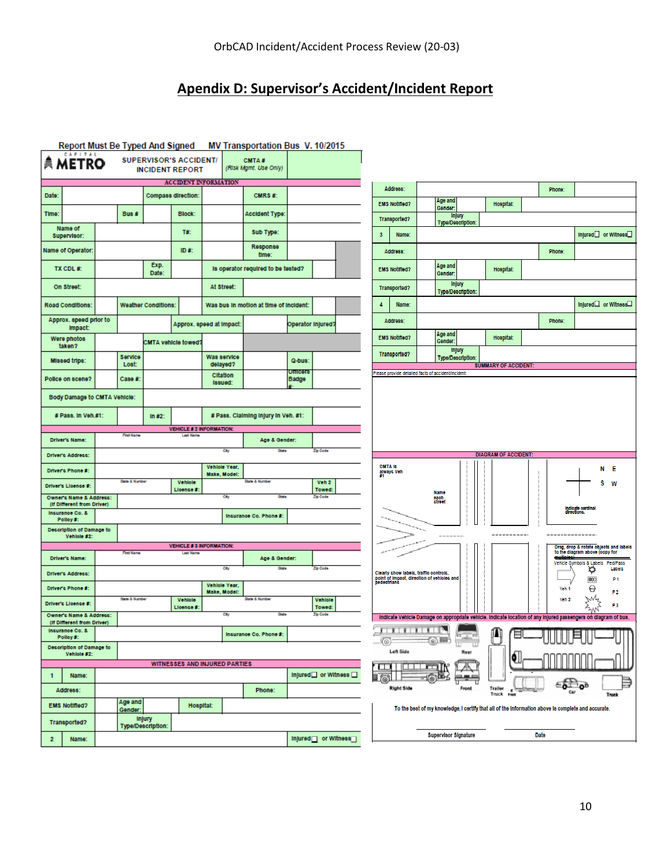## **Apendix D: Supervisor's Accident/Incident Report**

|                                                       |                           |                                    |                                                         |                                 | Report Must Be Typed And Signed MV Transportation Bus V. 10/2015 |                         |                                   |                |                                                                                      |   |                                               |       |                             |                                                                                                                |                                   |                                                                          |
|-------------------------------------------------------|---------------------------|------------------------------------|---------------------------------------------------------|---------------------------------|------------------------------------------------------------------|-------------------------|-----------------------------------|----------------|--------------------------------------------------------------------------------------|---|-----------------------------------------------|-------|-----------------------------|----------------------------------------------------------------------------------------------------------------|-----------------------------------|--------------------------------------------------------------------------|
| CAPITAL<br><b>典 METRO</b>                             |                           |                                    | <b>SUPERVISOR'S ACCIDENT/</b><br><b>INCIDENT REPORT</b> |                                 | CMTA#<br>(Risk Mgmt. Use Only)                                   |                         |                                   |                |                                                                                      |   |                                               |       |                             |                                                                                                                |                                   |                                                                          |
|                                                       |                           |                                    |                                                         | <b>ACCIDENT INFORMATION</b>     |                                                                  |                         |                                   |                | Address:                                                                             |   |                                               |       |                             | Phone:                                                                                                         |                                   |                                                                          |
| Date:                                                 |                           |                                    | Compass direction:                                      |                                 | CMRS#:                                                           |                         |                                   |                | <b>EMS Notified?</b>                                                                 |   | Age and                                       |       | Hospital:                   |                                                                                                                |                                   |                                                                          |
| Time:                                                 | Bus#                      |                                    | <b>Block:</b>                                           |                                 | <b>Accident Type:</b>                                            |                         |                                   |                | Transported?                                                                         |   | Gender:<br><b>Injury</b><br>Type/Description: |       |                             |                                                                                                                |                                   |                                                                          |
| Name of<br>Supervisor:                                |                           |                                    | T#:                                                     |                                 | Sub Type:                                                        |                         |                                   | 3              | Name:                                                                                |   |                                               |       |                             |                                                                                                                |                                   | Injured or Witness                                                       |
| Name of Operator:                                     |                           |                                    | ID #:                                                   |                                 | <b>Response</b><br>time:                                         |                         |                                   |                | Address:                                                                             |   |                                               |       |                             | Phone:                                                                                                         |                                   |                                                                          |
| TX CDL #:                                             |                           | Exp.<br>Date:                      |                                                         |                                 | is operator required to be tested?                               |                         |                                   |                | <b>EMS Notified?</b>                                                                 |   | Age and<br>Gender.                            |       | Hospital:                   |                                                                                                                |                                   |                                                                          |
| On Street:                                            |                           |                                    |                                                         | At Street:                      |                                                                  |                         |                                   |                | Transported?                                                                         |   | <b>Injury</b><br>Type/Description:            |       |                             |                                                                                                                |                                   |                                                                          |
| <b>Road Conditions:</b>                               |                           | <b>Weather Conditions:</b>         |                                                         |                                 | Was bus in motion at time of incident:                           |                         |                                   | $\overline{4}$ | Name:                                                                                |   |                                               |       |                             |                                                                                                                |                                   | Injured□ or Witness□                                                     |
| Approx. speed prior to<br>Impact:                     |                           |                                    |                                                         | Approx. speed at Impact:        |                                                                  | Operator Injured?       |                                   |                | Address:                                                                             |   |                                               |       |                             | Phone:                                                                                                         |                                   |                                                                          |
| Were photos<br>taken?                                 |                           |                                    | CMTA vehicle towed?                                     |                                 |                                                                  |                         |                                   |                | <b>EMS Notified?</b>                                                                 |   | Age and<br>Gender.                            |       | Hospital:                   |                                                                                                                |                                   |                                                                          |
| Missed trips:                                         | Service<br>Lost:          |                                    |                                                         | Was service                     |                                                                  | Q-bus:                  |                                   |                | Transported?                                                                         |   | <b>Injury</b><br>Type/Description:            |       |                             |                                                                                                                |                                   |                                                                          |
| Police on scene?                                      | Case #:                   |                                    |                                                         | delayed?<br><b>Citation</b>     |                                                                  | <b>Onicers</b><br>Badge |                                   |                | lease provide detailed facts of accident/incident:                                   |   |                                               |       | <b>SUMMARY OF ACCIDENT</b>  |                                                                                                                |                                   |                                                                          |
| <b>Body Damage to CMTA Vehicle:</b>                   |                           |                                    |                                                         | Issued:                         |                                                                  |                         |                                   |                |                                                                                      |   |                                               |       |                             |                                                                                                                |                                   |                                                                          |
| # Pass. In Veh.#1:                                    |                           | In $#2$ :                          |                                                         |                                 | # Pass. Claiming injury in Veh. #1:                              |                         |                                   |                |                                                                                      |   |                                               |       |                             |                                                                                                                |                                   |                                                                          |
|                                                       |                           |                                    |                                                         | <b>VEHICLE # 2 INFORMATION:</b> |                                                                  |                         |                                   |                |                                                                                      |   |                                               |       |                             |                                                                                                                |                                   |                                                                          |
| <b>Driver's Name:</b>                                 | <b>First Name</b>         |                                    | <b>Last Name</b>                                        |                                 | Age & Gender:                                                    |                         |                                   |                |                                                                                      |   |                                               |       |                             |                                                                                                                |                                   |                                                                          |
| Driver's Address:                                     |                           |                                    |                                                         | Chy                             | <b>State</b>                                                     |                         | Zip Code                          |                |                                                                                      |   |                                               |       | <b>DIAGRAM OF ACCIDENT:</b> |                                                                                                                |                                   |                                                                          |
| Driver's Phone #:                                     |                           |                                    |                                                         | Vehicle Year,<br>Make, Model:   |                                                                  |                         |                                   | <b>CMTA Is</b> | always Veh                                                                           |   |                                               |       |                             |                                                                                                                |                                   | N E                                                                      |
| Driver's License #:                                   | State & Number            |                                    | Vehicle<br>Lloonce #                                    |                                 | State & Number                                                   |                         | Voh <sub>2</sub><br><b>Towed:</b> |                |                                                                                      |   | <b>Name</b>                                   |       |                             |                                                                                                                |                                   | s<br><b>W</b>                                                            |
| Owner's Name & Address:<br>(If Different from Driver) |                           |                                    |                                                         | City                            | <b>State</b>                                                     |                         | Zip Code                          |                |                                                                                      |   | each<br>stree                                 |       |                             |                                                                                                                | Indicate cardinal                 |                                                                          |
| Incurance Co. &<br>Polloy #:                          |                           |                                    |                                                         |                                 | Insurance Co. Phone #:                                           |                         |                                   |                |                                                                                      |   |                                               |       |                             |                                                                                                                |                                   |                                                                          |
| <b>Description of Damage to</b><br>Vehicle #2:        |                           |                                    |                                                         |                                 |                                                                  |                         |                                   |                |                                                                                      |   | --------                                      |       | -----------                 |                                                                                                                |                                   |                                                                          |
|                                                       | <b>First Name</b>         |                                    | <b>Last Nam</b>                                         | <b>VEHICLE # 3 INFORMATION:</b> |                                                                  |                         |                                   |                |                                                                                      |   |                                               |       |                             |                                                                                                                |                                   | Drag, drop & rotate objects and labels<br>to the diagram above (copy for |
| <b>Driver's Name:</b>                                 |                           |                                    |                                                         | City                            | Age & Gender:<br><b>State</b>                                    |                         | Zip Code                          |                |                                                                                      |   |                                               |       |                             |                                                                                                                | Vehicle Symbols & Labels Ped/Pass | Labels                                                                   |
| Driver's Address:                                     |                           |                                    |                                                         | Vehicle Year.                   |                                                                  |                         |                                   |                | Clearly show labels, trafflo controls,<br>point of impact, direction of vehicles and |   |                                               |       |                             |                                                                                                                | ₩<br>000                          | P <sub>1</sub>                                                           |
| <b>Driver's Phone #:</b>                              | <b>State &amp; Number</b> |                                    | Vehicle                                                 | Make, Model:                    | <b>Grate A Monthas</b>                                           |                         | Vehicle                           |                |                                                                                      |   |                                               |       |                             | Vch <sub>1</sub><br>Vch 2                                                                                      | Θ<br>N4                           | P2                                                                       |
| Driver's License #:<br>Owner's Name & Address:        |                           |                                    | Lloonce #                                               | City                            | <b>Otate</b>                                                     |                         | Towed:<br>Zip Code                |                |                                                                                      |   |                                               |       |                             | Indicate Vehicle Damage on appropriate vehicle. Indicate location of any injured passengers on diagram of bus. |                                   | P3                                                                       |
| (If Different from Driver)<br>Incurance Co. &         |                           |                                    |                                                         |                                 |                                                                  |                         |                                   |                | $\pi$ . The contract $\mathbb{R}$                                                    |   |                                               |       | ጡ                           |                                                                                                                |                                   |                                                                          |
| Polloy #:<br>Decoription of Damage to                 |                           |                                    |                                                         |                                 | Incurance Co. Phone #:                                           |                         |                                   | K®)            |                                                                                      | ◉ |                                               |       |                             |                                                                                                                |                                   |                                                                          |
| Vehicle #2:                                           |                           |                                    |                                                         |                                 |                                                                  |                         |                                   |                | Left Side                                                                            |   |                                               |       |                             |                                                                                                                |                                   |                                                                          |
| Name:<br>$\mathbf{1}$                                 |                           |                                    |                                                         | WITNESSES AND INJURED PARTIES   |                                                                  |                         | Injured□ or Witness □             | ╓              |                                                                                      |   |                                               |       |                             |                                                                                                                |                                   |                                                                          |
| Address:                                              |                           |                                    |                                                         |                                 | Phone:                                                           |                         |                                   |                | <b>Right Side</b>                                                                    |   |                                               | Front | Trailer<br>Truck            |                                                                                                                |                                   | ۵<br>Truck                                                               |
| <b>EMS Notified?</b>                                  | Age and<br>Gender:        |                                    | Hospital:                                               |                                 |                                                                  |                         |                                   |                |                                                                                      |   |                                               |       |                             | To the best of my knowledge, I certify that all of the information above is complete and accurate.             |                                   |                                                                          |
| Transported?                                          |                           | <b>Injury</b><br>Type/Description: |                                                         |                                 |                                                                  |                         |                                   |                |                                                                                      |   |                                               |       |                             |                                                                                                                |                                   |                                                                          |
| $\overline{\mathbf{2}}$<br>Name:                      |                           |                                    |                                                         |                                 |                                                                  |                         | Injured or Witness                |                |                                                                                      |   | <b>Supervisor Signature</b>                   |       |                             | Date                                                                                                           |                                   |                                                                          |